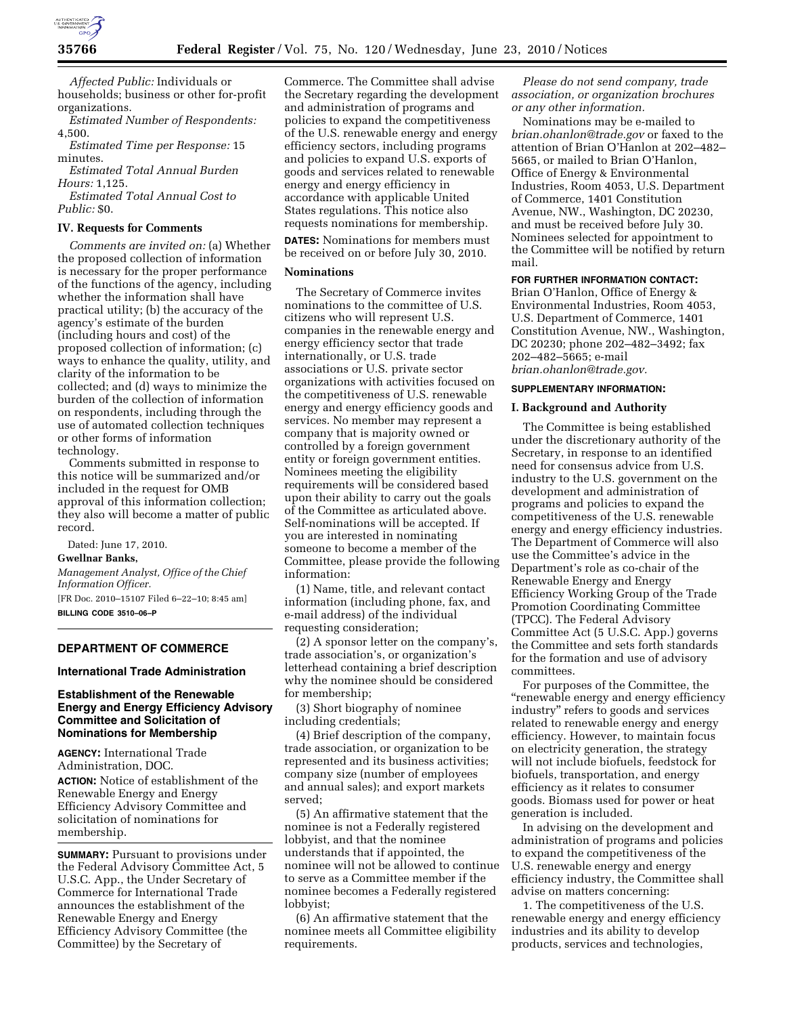

*Affected Public:* Individuals or households; business or other for-profit organizations.

*Estimated Number of Respondents:*  4,500.

*Estimated Time per Response:* 15 minutes.

*Estimated Total Annual Burden Hours:* 1,125.

*Estimated Total Annual Cost to Public:* \$0.

#### **IV. Requests for Comments**

*Comments are invited on:* (a) Whether the proposed collection of information is necessary for the proper performance of the functions of the agency, including whether the information shall have practical utility; (b) the accuracy of the agency's estimate of the burden (including hours and cost) of the proposed collection of information; (c) ways to enhance the quality, utility, and clarity of the information to be collected; and (d) ways to minimize the burden of the collection of information on respondents, including through the use of automated collection techniques or other forms of information technology.

Comments submitted in response to this notice will be summarized and/or included in the request for OMB approval of this information collection; they also will become a matter of public record.

Dated: June 17, 2010.

#### **Gwellnar Banks,**

*Management Analyst, Office of the Chief Information Officer.* 

[FR Doc. 2010–15107 Filed 6–22–10; 8:45 am] **BILLING CODE 3510–06–P** 

## **DEPARTMENT OF COMMERCE**

## **International Trade Administration**

## **Establishment of the Renewable Energy and Energy Efficiency Advisory Committee and Solicitation of Nominations for Membership**

**AGENCY:** International Trade Administration, DOC.

**ACTION:** Notice of establishment of the Renewable Energy and Energy Efficiency Advisory Committee and solicitation of nominations for membership.

**SUMMARY:** Pursuant to provisions under the Federal Advisory Committee Act, 5 U.S.C. App., the Under Secretary of Commerce for International Trade announces the establishment of the Renewable Energy and Energy Efficiency Advisory Committee (the Committee) by the Secretary of

Commerce. The Committee shall advise the Secretary regarding the development and administration of programs and policies to expand the competitiveness of the U.S. renewable energy and energy efficiency sectors, including programs and policies to expand U.S. exports of goods and services related to renewable energy and energy efficiency in accordance with applicable United States regulations. This notice also requests nominations for membership.

**DATES:** Nominations for members must be received on or before July 30, 2010.

## **Nominations**

The Secretary of Commerce invites nominations to the committee of U.S. citizens who will represent U.S. companies in the renewable energy and energy efficiency sector that trade internationally, or U.S. trade associations or U.S. private sector organizations with activities focused on the competitiveness of U.S. renewable energy and energy efficiency goods and services. No member may represent a company that is majority owned or controlled by a foreign government entity or foreign government entities. Nominees meeting the eligibility requirements will be considered based upon their ability to carry out the goals of the Committee as articulated above. Self-nominations will be accepted. If you are interested in nominating someone to become a member of the Committee, please provide the following information:

(1) Name, title, and relevant contact information (including phone, fax, and e-mail address) of the individual requesting consideration;

(2) A sponsor letter on the company's, trade association's, or organization's letterhead containing a brief description why the nominee should be considered for membership;

(3) Short biography of nominee including credentials;

(4) Brief description of the company, trade association, or organization to be represented and its business activities; company size (number of employees and annual sales); and export markets served;

(5) An affirmative statement that the nominee is not a Federally registered lobbyist, and that the nominee understands that if appointed, the nominee will not be allowed to continue to serve as a Committee member if the nominee becomes a Federally registered lobbyist;

(6) An affirmative statement that the nominee meets all Committee eligibility requirements.

*Please do not send company, trade association, or organization brochures or any other information.* 

Nominations may be e-mailed to *brian.ohanlon@trade.gov* or faxed to the attention of Brian O'Hanlon at 202–482– 5665, or mailed to Brian O'Hanlon, Office of Energy & Environmental Industries, Room 4053, U.S. Department of Commerce, 1401 Constitution Avenue, NW., Washington, DC 20230, and must be received before July 30. Nominees selected for appointment to the Committee will be notified by return mail.

# **FOR FURTHER INFORMATION CONTACT:**

Brian O'Hanlon, Office of Energy & Environmental Industries, Room 4053, U.S. Department of Commerce, 1401 Constitution Avenue, NW., Washington, DC 20230; phone 202–482–3492; fax 202–482–5665; e-mail *brian.ohanlon@trade.gov.* 

### **SUPPLEMENTARY INFORMATION:**

#### **I. Background and Authority**

The Committee is being established under the discretionary authority of the Secretary, in response to an identified need for consensus advice from U.S. industry to the U.S. government on the development and administration of programs and policies to expand the competitiveness of the U.S. renewable energy and energy efficiency industries. The Department of Commerce will also use the Committee's advice in the Department's role as co-chair of the Renewable Energy and Energy Efficiency Working Group of the Trade Promotion Coordinating Committee (TPCC). The Federal Advisory Committee Act (5 U.S.C. App.) governs the Committee and sets forth standards for the formation and use of advisory committees.

For purposes of the Committee, the ''renewable energy and energy efficiency industry'' refers to goods and services related to renewable energy and energy efficiency. However, to maintain focus on electricity generation, the strategy will not include biofuels, feedstock for biofuels, transportation, and energy efficiency as it relates to consumer goods. Biomass used for power or heat generation is included.

In advising on the development and administration of programs and policies to expand the competitiveness of the U.S. renewable energy and energy efficiency industry, the Committee shall advise on matters concerning:

1. The competitiveness of the U.S. renewable energy and energy efficiency industries and its ability to develop products, services and technologies,